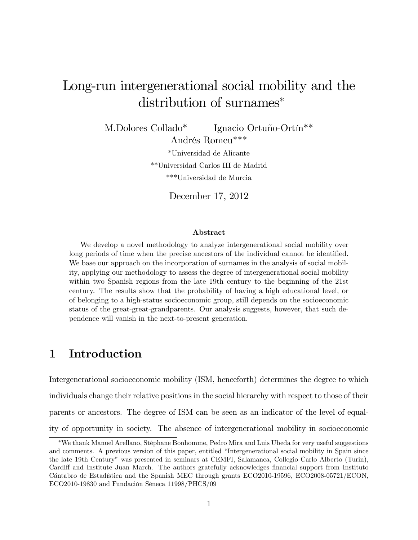# Long-run intergenerational social mobility and the distribution of surnames

M.Dolores Collado<sup>\*</sup> Ignacio Ortuño-Ortín<sup>\*\*</sup> Andrés Romeu<sup>\*\*\*</sup>

> \*Universidad de Alicante \*\*Universidad Carlos III de Madrid \*\*\*Universidad de Murcia

> > December 17, 2012

#### Abstract

We develop a novel methodology to analyze intergenerational social mobility over long periods of time when the precise ancestors of the individual cannot be identified. We base our approach on the incorporation of surnames in the analysis of social mobility, applying our methodology to assess the degree of intergenerational social mobility within two Spanish regions from the late 19th century to the beginning of the 21st century. The results show that the probability of having a high educational level, or of belonging to a high-status socioeconomic group, still depends on the socioeconomic status of the great-great-grandparents. Our analysis suggests, however, that such dependence will vanish in the next-to-present generation.

# 1 Introduction

Intergenerational socioeconomic mobility (ISM, henceforth) determines the degree to which individuals change their relative positions in the social hierarchy with respect to those of their parents or ancestors. The degree of ISM can be seen as an indicator of the level of equality of opportunity in society. The absence of intergenerational mobility in socioeconomic

We thank Manuel Arellano, StÈphane Bonhomme, Pedro Mira and Luis Ubeda for very useful suggestions and comments. A previous version of this paper, entitled "Intergenerational social mobility in Spain since the late 19th Centuryî was presented in seminars at CEMFI, Salamanca, Collegio Carlo Alberto (Turin), Cardiff and Institute Juan March. The authors gratefully acknowledges financial support from Instituto Cántabro de Estadística and the Spanish MEC through grants ECO2010-19596, ECO2008-05721/ECON, ECO2010-19830 and Fundación Séneca  $11998/PHCS/09$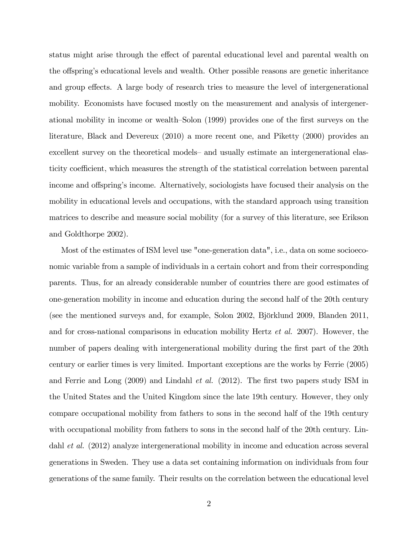status might arise through the effect of parental educational level and parental wealth on the offspring's educational levels and wealth. Other possible reasons are genetic inheritance and group effects. A large body of research tries to measure the level of intergenerational mobility. Economists have focused mostly on the measurement and analysis of intergenerational mobility in income or wealth–Solon (1999) provides one of the first surveys on the literature, Black and Devereux (2010) a more recent one, and Piketty (2000) provides an excellent survey on the theoretical models– and usually estimate an intergenerational elasticity coefficient, which measures the strength of the statistical correlation between parental income and offspring's income. Alternatively, sociologists have focused their analysis on the mobility in educational levels and occupations, with the standard approach using transition matrices to describe and measure social mobility (for a survey of this literature, see Erikson and Goldthorpe 2002).

Most of the estimates of ISM level use "one-generation data", i.e., data on some socioeconomic variable from a sample of individuals in a certain cohort and from their corresponding parents. Thus, for an already considerable number of countries there are good estimates of one-generation mobility in income and education during the second half of the 20th century (see the mentioned surveys and, for example, Solon  $2002$ , Björklund  $2009$ , Blanden  $2011$ , and for cross-national comparisons in education mobility Hertz et al. 2007). However, the number of papers dealing with intergenerational mobility during the first part of the 20th century or earlier times is very limited. Important exceptions are the works by Ferrie (2005) and Ferrie and Long  $(2009)$  and Lindahl *et al.*  $(2012)$ . The first two papers study ISM in the United States and the United Kingdom since the late 19th century. However, they only compare occupational mobility from fathers to sons in the second half of the 19th century with occupational mobility from fathers to sons in the second half of the 20th century. Lindahl et al. (2012) analyze intergenerational mobility in income and education across several generations in Sweden. They use a data set containing information on individuals from four generations of the same family. Their results on the correlation between the educational level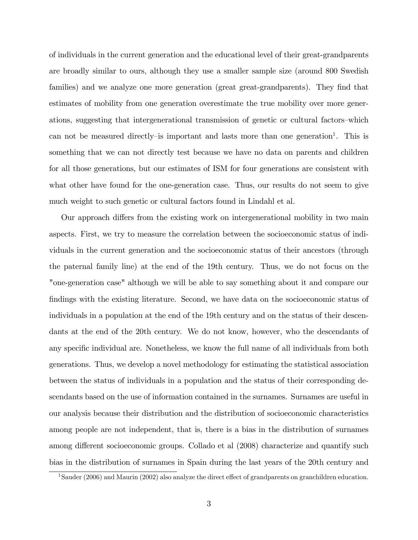of individuals in the current generation and the educational level of their great-grandparents are broadly similar to ours, although they use a smaller sample size (around 800 Swedish families) and we analyze one more generation (great great-grandparents). They find that estimates of mobility from one generation overestimate the true mobility over more generations, suggesting that intergenerational transmission of genetic or cultural factors-which can not be measured directly–is important and lasts more than one generation<sup>1</sup>. This is something that we can not directly test because we have no data on parents and children for all those generations, but our estimates of ISM for four generations are consistent with what other have found for the one-generation case. Thus, our results do not seem to give much weight to such genetic or cultural factors found in Lindahl et al.

Our approach differs from the existing work on intergenerational mobility in two main aspects. First, we try to measure the correlation between the socioeconomic status of individuals in the current generation and the socioeconomic status of their ancestors (through the paternal family line) at the end of the 19th century. Thus, we do not focus on the "one-generation case" although we will be able to say something about it and compare our findings with the existing literature. Second, we have data on the socioeconomic status of individuals in a population at the end of the 19th century and on the status of their descendants at the end of the 20th century. We do not know, however, who the descendants of any specific individual are. Nonetheless, we know the full name of all individuals from both generations. Thus, we develop a novel methodology for estimating the statistical association between the status of individuals in a population and the status of their corresponding descendants based on the use of information contained in the surnames. Surnames are useful in our analysis because their distribution and the distribution of socioeconomic characteristics among people are not independent, that is, there is a bias in the distribution of surnames among different socioeconomic groups. Collado et al (2008) characterize and quantify such bias in the distribution of surnames in Spain during the last years of the 20th century and

<sup>&</sup>lt;sup>1</sup>Sauder (2006) and Maurin (2002) also analyze the direct effect of grandparents on granchildren education.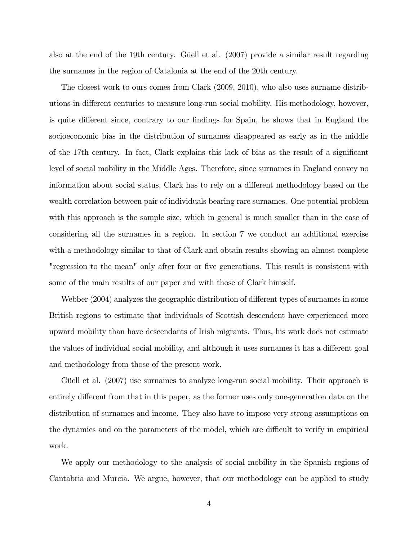also at the end of the 19th century. Güell et al.  $(2007)$  provide a similar result regarding the surnames in the region of Catalonia at the end of the 20th century.

The closest work to ours comes from Clark (2009, 2010), who also uses surname distributions in different centuries to measure long-run social mobility. His methodology, however, is quite different since, contrary to our findings for Spain, he shows that in England the socioeconomic bias in the distribution of surnames disappeared as early as in the middle of the 17th century. In fact, Clark explains this lack of bias as the result of a significant level of social mobility in the Middle Ages. Therefore, since surnames in England convey no information about social status, Clark has to rely on a different methodology based on the wealth correlation between pair of individuals bearing rare surnames. One potential problem with this approach is the sample size, which in general is much smaller than in the case of considering all the surnames in a region. In section 7 we conduct an additional exercise with a methodology similar to that of Clark and obtain results showing an almost complete "regression to the mean" only after four or five generations. This result is consistent with some of the main results of our paper and with those of Clark himself.

Webber (2004) analyzes the geographic distribution of different types of surnames in some British regions to estimate that individuals of Scottish descendent have experienced more upward mobility than have descendants of Irish migrants. Thus, his work does not estimate the values of individual social mobility, and although it uses surnames it has a different goal and methodology from those of the present work.

Güell et al. (2007) use surnames to analyze long-run social mobility. Their approach is entirely different from that in this paper, as the former uses only one-generation data on the distribution of surnames and income. They also have to impose very strong assumptions on the dynamics and on the parameters of the model, which are difficult to verify in empirical work.

We apply our methodology to the analysis of social mobility in the Spanish regions of Cantabria and Murcia. We argue, however, that our methodology can be applied to study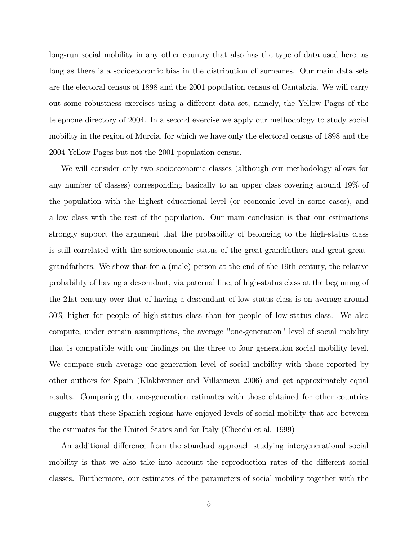long-run social mobility in any other country that also has the type of data used here, as long as there is a socioeconomic bias in the distribution of surnames. Our main data sets are the electoral census of 1898 and the 2001 population census of Cantabria. We will carry out some robustness exercises using a different data set, namely, the Yellow Pages of the telephone directory of 2004. In a second exercise we apply our methodology to study social mobility in the region of Murcia, for which we have only the electoral census of 1898 and the 2004 Yellow Pages but not the 2001 population census.

We will consider only two socioeconomic classes (although our methodology allows for any number of classes) corresponding basically to an upper class covering around 19% of the population with the highest educational level (or economic level in some cases), and a low class with the rest of the population. Our main conclusion is that our estimations strongly support the argument that the probability of belonging to the high-status class is still correlated with the socioeconomic status of the great-grandfathers and great-greatgrandfathers. We show that for a (male) person at the end of the 19th century, the relative probability of having a descendant, via paternal line, of high-status class at the beginning of the 21st century over that of having a descendant of low-status class is on average around 30% higher for people of high-status class than for people of low-status class. We also compute, under certain assumptions, the average "one-generation" level of social mobility that is compatible with our findings on the three to four generation social mobility level. We compare such average one-generation level of social mobility with those reported by other authors for Spain (Klakbrenner and Villanueva 2006) and get approximately equal results. Comparing the one-generation estimates with those obtained for other countries suggests that these Spanish regions have enjoyed levels of social mobility that are between the estimates for the United States and for Italy (Checchi et al. 1999)

An additional difference from the standard approach studying intergenerational social mobility is that we also take into account the reproduction rates of the different social classes. Furthermore, our estimates of the parameters of social mobility together with the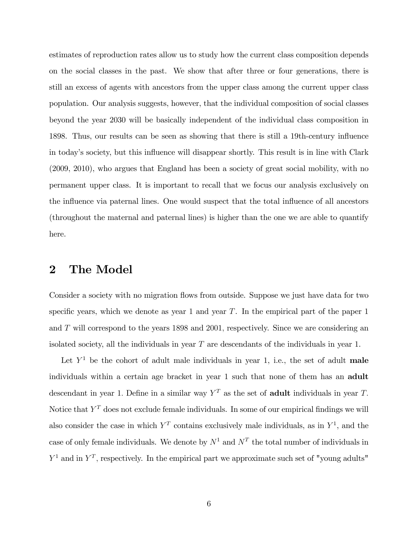estimates of reproduction rates allow us to study how the current class composition depends on the social classes in the past. We show that after three or four generations, there is still an excess of agents with ancestors from the upper class among the current upper class population. Our analysis suggests, however, that the individual composition of social classes beyond the year 2030 will be basically independent of the individual class composition in 1898. Thus, our results can be seen as showing that there is still a 19th-century ináuence in today's society, but this influence will disappear shortly. This result is in line with Clark (2009, 2010), who argues that England has been a society of great social mobility, with no permanent upper class. It is important to recall that we focus our analysis exclusively on the influence via paternal lines. One would suspect that the total influence of all ancestors (throughout the maternal and paternal lines) is higher than the one we are able to quantify here.

# 2 The Model

Consider a society with no migration flows from outside. Suppose we just have data for two specific years, which we denote as year 1 and year  $T$ . In the empirical part of the paper 1 and T will correspond to the years 1898 and 2001; respectively. Since we are considering an isolated society, all the individuals in year T are descendants of the individuals in year 1.

Let  $Y<sup>1</sup>$  be the cohort of adult male individuals in year 1, i.e., the set of adult male individuals within a certain age bracket in year 1 such that none of them has an adult descendant in year 1. Define in a similar way  $Y<sup>T</sup>$  as the set of **adult** individuals in year T. Notice that  $Y^T$  does not exclude female individuals. In some of our empirical findings we will also consider the case in which  $Y<sup>T</sup>$  contains exclusively male individuals, as in  $Y<sup>1</sup>$ , and the case of only female individuals. We denote by  $N^1$  and  $N^T$  the total number of individuals in  $Y^1$  and in  $Y^T$ , respectively. In the empirical part we approximate such set of "young adults"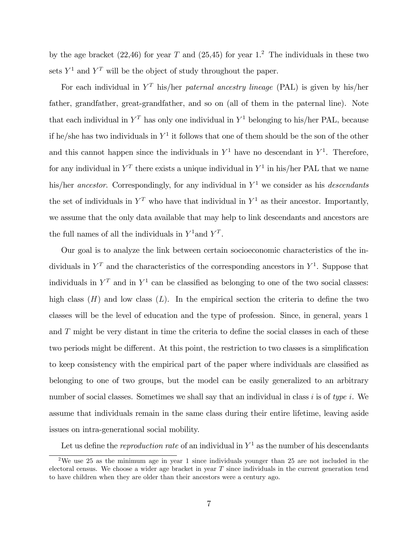by the age bracket  $(22, 46)$  for year T and  $(25, 45)$  for year 1.<sup>2</sup> The individuals in these two sets  $Y^1$  and  $Y^T$  will be the object of study throughout the paper.

For each individual in  $Y<sup>T</sup>$  his/her paternal ancestry lineage (PAL) is given by his/her father, grandfather, great-grandfather, and so on (all of them in the paternal line). Note that each individual in  $Y<sup>T</sup>$  has only one individual in  $Y<sup>1</sup>$  belonging to his/her PAL, because if he/she has two individuals in  $Y^1$  it follows that one of them should be the son of the other and this cannot happen since the individuals in  $Y^1$  have no descendant in  $Y^1$ . Therefore, for any individual in  $Y^T$  there exists a unique individual in  $Y^1$  in his/her PAL that we name his/her ancestor. Correspondingly, for any individual in  $Y^1$  we consider as his *descendants* the set of individuals in  $Y<sup>T</sup>$  who have that individual in  $Y<sup>1</sup>$  as their ancestor. Importantly, we assume that the only data available that may help to link descendants and ancestors are the full names of all the individuals in  $Y^1$  and  $Y^T$ .

Our goal is to analyze the link between certain socioeconomic characteristics of the individuals in  $Y^T$  and the characteristics of the corresponding ancestors in  $Y^1$ . Suppose that individuals in  $Y<sup>T</sup>$  and in  $Y<sup>1</sup>$  can be classified as belonging to one of the two social classes: high class  $(H)$  and low class  $(L)$ . In the empirical section the criteria to define the two classes will be the level of education and the type of profession. Since, in general, years 1 and  $T$  might be very distant in time the criteria to define the social classes in each of these two periods might be different. At this point, the restriction to two classes is a simplification to keep consistency with the empirical part of the paper where individuals are classified as belonging to one of two groups, but the model can be easily generalized to an arbitrary number of social classes. Sometimes we shall say that an individual in class i is of type i. We assume that individuals remain in the same class during their entire lifetime, leaving aside issues on intra-generational social mobility.

Let us define the *reproduction rate* of an individual in  $Y^1$  as the number of his descendants

<sup>&</sup>lt;sup>2</sup>We use 25 as the minimum age in year 1 since individuals younger than 25 are not included in the electoral census. We choose a wider age bracket in year  $T$  since individuals in the current generation tend to have children when they are older than their ancestors were a century ago.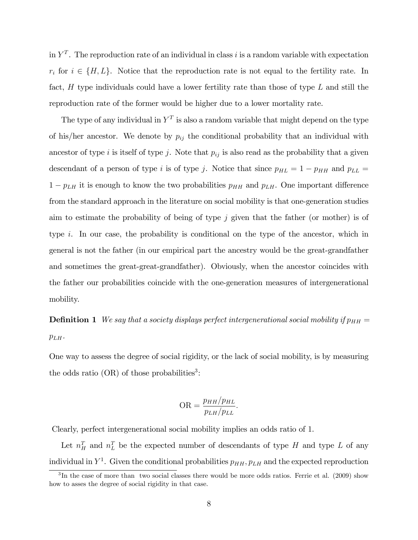in  $Y<sup>T</sup>$ . The reproduction rate of an individual in class i is a random variable with expectation  $r_i$  for  $i \in \{H, L\}$ . Notice that the reproduction rate is not equal to the fertility rate. In fact,  $H$  type individuals could have a lower fertility rate than those of type  $L$  and still the reproduction rate of the former would be higher due to a lower mortality rate.

The type of any individual in  $Y<sup>T</sup>$  is also a random variable that might depend on the type of his/her ancestor. We denote by  $p_{ij}$  the conditional probability that an individual with ancestor of type i is itself of type j. Note that  $p_{ij}$  is also read as the probability that a given descendant of a person of type i is of type j. Notice that since  $p_{HL} = 1 - p_{HH}$  and  $p_{LL} =$  $1 - p_{LH}$  it is enough to know the two probabilities  $p_{HH}$  and  $p_{LH}$ . One important difference from the standard approach in the literature on social mobility is that one-generation studies aim to estimate the probability of being of type  $j$  given that the father (or mother) is of type i. In our case, the probability is conditional on the type of the ancestor, which in general is not the father (in our empirical part the ancestry would be the great-grandfather and sometimes the great-great-grandfather). Obviously, when the ancestor coincides with the father our probabilities coincide with the one-generation measures of intergenerational mobility.

**Definition 1** We say that a society displays perfect intergenerational social mobility if  $p_{HH}$  =  $p_{LH}$ .

One way to assess the degree of social rigidity, or the lack of social mobility, is by measuring the odds ratio  $(OR)$  of those probabilities<sup>3</sup>:

$$
OR = \frac{p_{HH}/p_{HL}}{p_{LH}/p_{LL}}.
$$

Clearly, perfect intergenerational social mobility implies an odds ratio of 1.

Let  $n_{H}^{T}$  and  $n_{L}^{T}$  be the expected number of descendants of type H and type L of any individual in  $Y^1$ . Given the conditional probabilities  $p_{HH}$ ,  $p_{LH}$  and the expected reproduction

 ${}^{3}$ In the case of more than two social classes there would be more odds ratios. Ferrie et al. (2009) show how to asses the degree of social rigidity in that case.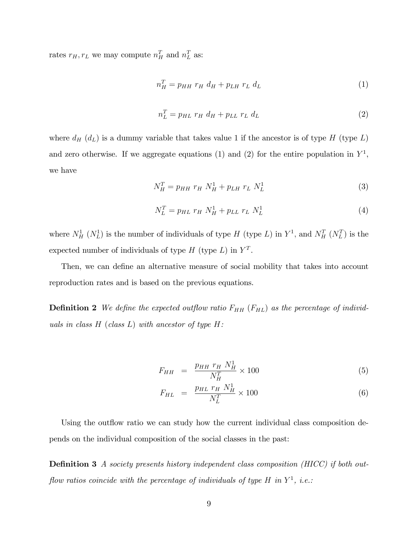rates  $r_H, r_L$  we may compute  $n_H^T$  and  $n_L^T$  as:

$$
n_H^T = p_{HH} \ r_H \ d_H + p_{LH} \ r_L \ d_L \tag{1}
$$

$$
n_L^T = p_{HL} r_H d_H + p_{LL} r_L d_L \tag{2}
$$

where  $d_H$  ( $d_L$ ) is a dummy variable that takes value 1 if the ancestor is of type H (type L) and zero otherwise. If we aggregate equations (1) and (2) for the entire population in  $Y^1$ , we have

$$
N_H^T = p_{HH} r_H N_H^1 + p_{LH} r_L N_L^1 \tag{3}
$$

$$
N_L^T = p_{HL} r_H N_H^1 + p_{LL} r_L N_L^1 \tag{4}
$$

where  $N_H^1$  ( $N_L^1$ ) is the number of individuals of type H (type L) in  $Y^1$ , and  $N_H^T$  ( $N_L^T$ ) is the expected number of individuals of type  $H$  (type  $L$ ) in  $Y<sup>T</sup>$ .

Then, we can define an alternative measure of social mobility that takes into account reproduction rates and is based on the previous equations.

**Definition 2** We define the expected outflow ratio  $F_{HH}$  ( $F_{HL}$ ) as the percentage of individuals in class  $H$  (class  $L$ ) with ancestor of type  $H$ :

$$
F_{HH} = \frac{p_{HH} r_H N_H^1}{N_H^T} \times 100 \tag{5}
$$

$$
F_{HL} = \frac{p_{HL} \ r_H \ N_H^1}{N_L^T} \times 100 \tag{6}
$$

Using the outflow ratio we can study how the current individual class composition depends on the individual composition of the social classes in the past:

**Definition 3** A society presents history independent class composition (HICC) if both outflow ratios coincide with the percentage of individuals of type H in  $Y^1$ , i.e.: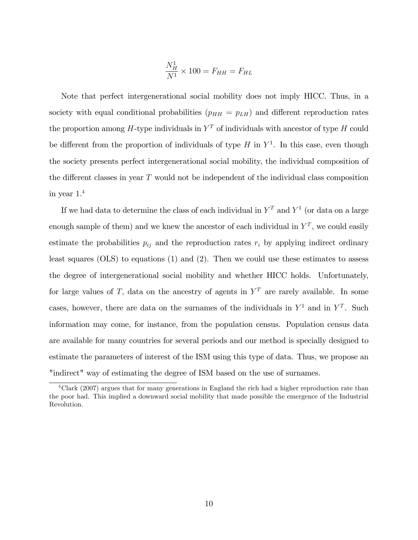$$
\frac{N_H^1}{N^1} \times 100 = F_{HH} = F_{HL}
$$

Note that perfect intergenerational social mobility does not imply HICC. Thus, in a society with equal conditional probabilities ( $p_{HH} = p_{LH}$ ) and different reproduction rates the proportion among H-type individuals in  $Y<sup>T</sup>$  of individuals with ancestor of type H could be different from the proportion of individuals of type  $H$  in  $Y^1$ . In this case, even though the society presents perfect intergenerational social mobility, the individual composition of the different classes in year  $T$  would not be independent of the individual class composition in year 1. 4

If we had data to determine the class of each individual in  $Y<sup>T</sup>$  and  $Y<sup>1</sup>$  (or data on a large enough sample of them) and we knew the ancestor of each individual in  $Y<sup>T</sup>$ , we could easily estimate the probabilities  $p_{ij}$  and the reproduction rates  $r_i$  by applying indirect ordinary least squares (OLS) to equations (1) and (2). Then we could use these estimates to assess the degree of intergenerational social mobility and whether HICC holds. Unfortunately, for large values of T, data on the ancestry of agents in  $Y<sup>T</sup>$  are rarely available. In some cases, however, there are data on the surnames of the individuals in  $Y^1$  and in  $Y^T$ . Such information may come, for instance, from the population census. Population census data are available for many countries for several periods and our method is specially designed to estimate the parameters of interest of the ISM using this type of data. Thus, we propose an "indirect" way of estimating the degree of ISM based on the use of surnames.

<sup>&</sup>lt;sup>4</sup>Clark (2007) argues that for many generations in England the rich had a higher reproduction rate than the poor had. This implied a downward social mobility that made possible the emergence of the Industrial Revolution.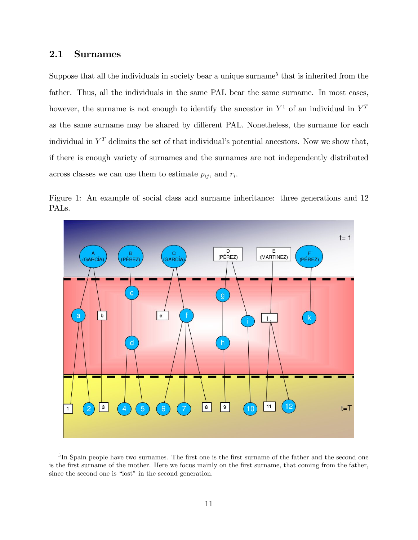### 2.1 Surnames

Suppose that all the individuals in society bear a unique surname<sup>5</sup> that is inherited from the father. Thus, all the individuals in the same PAL bear the same surname. In most cases, however, the surname is not enough to identify the ancestor in  $Y^1$  of an individual in  $Y^T$ as the same surname may be shared by different PAL. Nonetheless, the surname for each individual in  $Y<sup>T</sup>$  delimits the set of that individual's potential ancestors. Now we show that, if there is enough variety of surnames and the surnames are not independently distributed across classes we can use them to estimate  $p_{ij}$ , and  $r_i$ .



Figure 1: An example of social class and surname inheritance: three generations and 12 PALs.

<sup>&</sup>lt;sup>5</sup>In Spain people have two surnames. The first one is the first surname of the father and the second one is the first surname of the mother. Here we focus mainly on the first surname, that coming from the father, since the second one is "lost" in the second generation.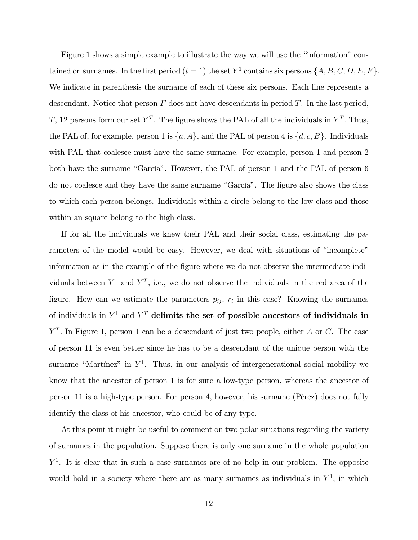Figure 1 shows a simple example to illustrate the way we will use the "information" contained on surnames. In the first period  $(t = 1)$  the set  $Y^1$  contains six persons  $\{A, B, C, D, E, F\}$ . We indicate in parenthesis the surname of each of these six persons. Each line represents a descendant. Notice that person  $F$  does not have descendants in period  $T$ . In the last period, T, 12 persons form our set  $Y^T$ . The figure shows the PAL of all the individuals in  $Y^T$ . Thus, the PAL of, for example, person 1 is  $\{a, A\}$ , and the PAL of person 4 is  $\{d, c, B\}$ . Individuals with PAL that coalesce must have the same surname. For example, person 1 and person 2 both have the surname "García". However, the PAL of person 1 and the PAL of person 6 do not coalesce and they have the same surname "García". The figure also shows the class to which each person belongs. Individuals within a circle belong to the low class and those within an square belong to the high class.

If for all the individuals we knew their PAL and their social class, estimating the parameters of the model would be easy. However, we deal with situations of "incomplete" information as in the example of the figure where we do not observe the intermediate individuals between  $Y^1$  and  $Y^T$ , i.e., we do not observe the individuals in the red area of the figure. How can we estimate the parameters  $p_{ij}$ ,  $r_i$  in this case? Knowing the surnames of individuals in  $Y^1$  and  $Y^T$  delimits the set of possible ancestors of individuals in  $Y<sup>T</sup>$ . In Figure 1, person 1 can be a descendant of just two people, either A or C. The case of person 11 is even better since he has to be a descendant of the unique person with the surname "Martínez" in  $Y^1$ . Thus, in our analysis of intergenerational social mobility we know that the ancestor of person 1 is for sure a low-type person, whereas the ancestor of person 11 is a high-type person. For person 4, however, his surname (PÈrez) does not fully identify the class of his ancestor, who could be of any type.

At this point it might be useful to comment on two polar situations regarding the variety of surnames in the population. Suppose there is only one surname in the whole population  $Y<sup>1</sup>$ . It is clear that in such a case surnames are of no help in our problem. The opposite would hold in a society where there are as many surnames as individuals in  $Y<sup>1</sup>$ , in which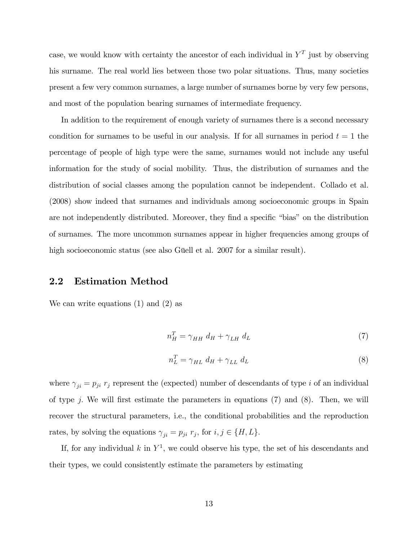case, we would know with certainty the ancestor of each individual in  $Y<sup>T</sup>$  just by observing his surname. The real world lies between those two polar situations. Thus, many societies present a few very common surnames, a large number of surnames borne by very few persons, and most of the population bearing surnames of intermediate frequency.

In addition to the requirement of enough variety of surnames there is a second necessary condition for surnames to be useful in our analysis. If for all surnames in period  $t = 1$  the percentage of people of high type were the same, surnames would not include any useful information for the study of social mobility. Thus, the distribution of surnames and the distribution of social classes among the population cannot be independent. Collado et al. (2008) show indeed that surnames and individuals among socioeconomic groups in Spain are not independently distributed. Moreover, they find a specific "bias" on the distribution of surnames. The more uncommon surnames appear in higher frequencies among groups of high socioeconomic status (see also Güell et al. 2007 for a similar result).

### 2.2 Estimation Method

We can write equations (1) and (2) as

$$
n_H^T = \gamma_{HH} \ d_H + \gamma_{LH} \ d_L \tag{7}
$$

$$
n_L^T = \gamma_{HL} \, d_H + \gamma_{LL} \, d_L \tag{8}
$$

where  $\gamma_{ji} = p_{ji}$  r<sub>j</sub> represent the (expected) number of descendants of type *i* of an individual of type j. We will first estimate the parameters in equations  $(7)$  and  $(8)$ . Then, we will recover the structural parameters, i.e., the conditional probabilities and the reproduction rates, by solving the equations  $\gamma_{ji} = p_{ji} r_j$ , for  $i, j \in \{H, L\}$ .

If, for any individual  $k$  in  $Y^1$ , we could observe his type, the set of his descendants and their types, we could consistently estimate the parameters by estimating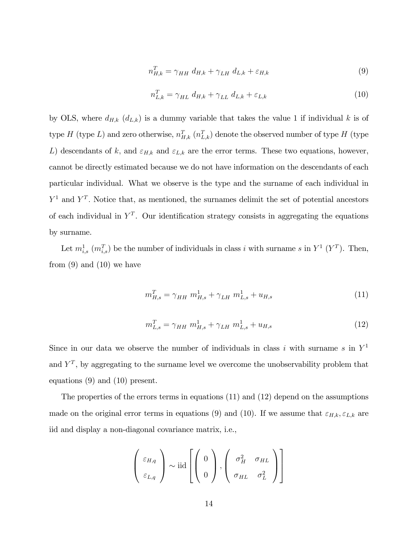$$
n_{H,k}^T = \gamma_{HH} d_{H,k} + \gamma_{LH} d_{L,k} + \varepsilon_{H,k}
$$
\n
$$
(9)
$$

$$
n_{L,k}^T = \gamma_{HL} d_{H,k} + \gamma_{LL} d_{L,k} + \varepsilon_{L,k}
$$
\n
$$
(10)
$$

by OLS, where  $d_{H,k}$   $(d_{L,k})$  is a dummy variable that takes the value 1 if individual k is of type H (type L) and zero otherwise,  $n_{H,k}^T$  ( $n_{L,k}^T$ ) denote the observed number of type H (type L) descendants of k, and  $\varepsilon_{H,k}$  and  $\varepsilon_{L,k}$  are the error terms. These two equations, however, cannot be directly estimated because we do not have information on the descendants of each particular individual. What we observe is the type and the surname of each individual in  $Y^1$  and  $Y^T$ . Notice that, as mentioned, the surnames delimit the set of potential ancestors of each individual in  $Y^T$ . Our identification strategy consists in aggregating the equations by surname.

Let  $m_{i,s}^1$  ( $m_{i,s}^T$ ) be the number of individuals in class i with surname s in  $Y^1$  ( $Y^T$ ). Then, from  $(9)$  and  $(10)$  we have

$$
m_{H,s}^T = \gamma_{HH} \ m_{H,s}^1 + \gamma_{LH} \ m_{L,s}^1 + u_{H,s} \tag{11}
$$

$$
m_{L,s}^T = \gamma_{HH} \ m_{H,s}^1 + \gamma_{LH} \ m_{L,s}^1 + u_{H,s} \tag{12}
$$

Since in our data we observe the number of individuals in class i with surname s in  $Y^1$ and  $Y^T$ , by aggregating to the surname level we overcome the unobservability problem that equations (9) and (10) present.

The properties of the errors terms in equations (11) and (12) depend on the assumptions made on the original error terms in equations (9) and (10). If we assume that  $\varepsilon_{H,k}, \varepsilon_{L,k}$  are iid and display a non-diagonal covariance matrix, i.e.,

$$
\left(\begin{array}{c} \varepsilon_{H,q} \\ \varepsilon_{L,q} \end{array}\right) \sim \text{iid} \left[\left(\begin{array}{c} 0 \\ 0 \end{array}\right), \left(\begin{array}{cc} \sigma_H^2 & \sigma_{HL} \\ \sigma_{HL} & \sigma_L^2 \end{array}\right)\right]
$$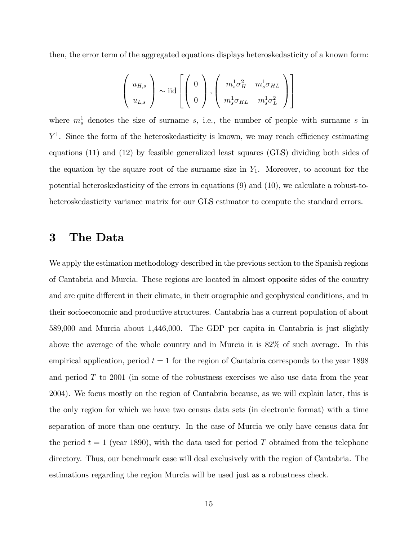then, the error term of the aggregated equations displays heteroskedasticity of a known form:

$$
\left(\begin{array}{c} u_{H,s} \\ u_{L,s} \end{array}\right) \sim \text{iid} \left[\left(\begin{array}{c} 0 \\ 0 \end{array}\right), \left(\begin{array}{cc} m_s^1 \sigma_H^2 & m_s^1 \sigma_{HL} \\ m_s^1 \sigma_{HL} & m_s^1 \sigma_L^2 \end{array}\right)\right]
$$

where  $m_s^1$  denotes the size of surname s, i.e., the number of people with surname s in  $Y<sup>1</sup>$ . Since the form of the heteroskedasticity is known, we may reach efficiency estimating equations (11) and (12) by feasible generalized least squares (GLS) dividing both sides of the equation by the square root of the surname size in  $Y_1$ . Moreover, to account for the potential heteroskedasticity of the errors in equations (9) and (10), we calculate a robust-toheteroskedasticity variance matrix for our GLS estimator to compute the standard errors.

# 3 The Data

We apply the estimation methodology described in the previous section to the Spanish regions of Cantabria and Murcia. These regions are located in almost opposite sides of the country and are quite different in their climate, in their orographic and geophysical conditions, and in their socioeconomic and productive structures. Cantabria has a current population of about 589,000 and Murcia about 1,446,000. The GDP per capita in Cantabria is just slightly above the average of the whole country and in Murcia it is 82% of such average. In this empirical application, period  $t = 1$  for the region of Cantabria corresponds to the year 1898 and period  $T$  to 2001 (in some of the robustness exercises we also use data from the year 2004). We focus mostly on the region of Cantabria because, as we will explain later, this is the only region for which we have two census data sets (in electronic format) with a time separation of more than one century. In the case of Murcia we only have census data for the period  $t = 1$  (year 1890), with the data used for period T obtained from the telephone directory. Thus, our benchmark case will deal exclusively with the region of Cantabria. The estimations regarding the region Murcia will be used just as a robustness check.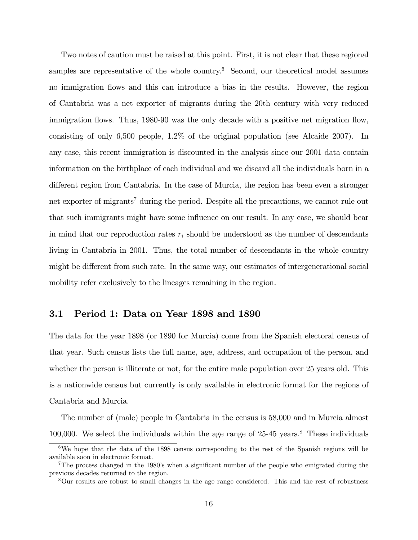Two notes of caution must be raised at this point. First, it is not clear that these regional samples are representative of the whole country.<sup>6</sup> Second, our theoretical model assumes no immigration flows and this can introduce a bias in the results. However, the region of Cantabria was a net exporter of migrants during the 20th century with very reduced immigration flows. Thus, 1980-90 was the only decade with a positive net migration flow, consisting of only 6,500 people, 1.2% of the original population (see Alcaide 2007). In any case, this recent immigration is discounted in the analysis since our 2001 data contain information on the birthplace of each individual and we discard all the individuals born in a different region from Cantabria. In the case of Murcia, the region has been even a stronger net exporter of migrants<sup>7</sup> during the period. Despite all the precautions, we cannot rule out that such immigrants might have some influence on our result. In any case, we should bear in mind that our reproduction rates  $r_i$  should be understood as the number of descendants living in Cantabria in 2001. Thus, the total number of descendants in the whole country might be different from such rate. In the same way, our estimates of intergenerational social mobility refer exclusively to the lineages remaining in the region.

#### 3.1 Period 1: Data on Year 1898 and 1890

The data for the year 1898 (or 1890 for Murcia) come from the Spanish electoral census of that year. Such census lists the full name, age, address, and occupation of the person, and whether the person is illiterate or not, for the entire male population over 25 years old. This is a nationwide census but currently is only available in electronic format for the regions of Cantabria and Murcia.

The number of (male) people in Cantabria in the census is 58,000 and in Murcia almost 100,000. We select the individuals within the age range of  $25-45$  years.<sup>8</sup> These individuals

<sup>6</sup>We hope that the data of the 1898 census corresponding to the rest of the Spanish regions will be available soon in electronic format.

<sup>&</sup>lt;sup>7</sup>The process changed in the 1980's when a significant number of the people who emigrated during the previous decades returned to the region.

<sup>8</sup>Our results are robust to small changes in the age range considered. This and the rest of robustness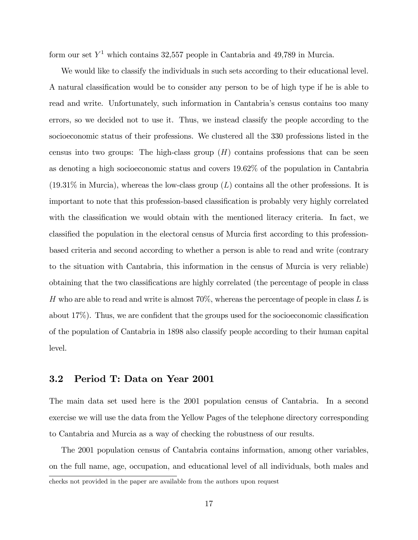form our set  $Y^1$  which contains 32,557 people in Cantabria and 49,789 in Murcia.

We would like to classify the individuals in such sets according to their educational level. A natural classification would be to consider any person to be of high type if he is able to read and write. Unfortunately, such information in Cantabriaís census contains too many errors, so we decided not to use it. Thus, we instead classify the people according to the socioeconomic status of their professions. We clustered all the 330 professions listed in the census into two groups: The high-class group  $(H)$  contains professions that can be seen as denoting a high socioeconomic status and covers 19.62% of the population in Cantabria  $(19.31\%$  in Murcia), whereas the low-class group  $(L)$  contains all the other professions. It is important to note that this profession-based classification is probably very highly correlated with the classification we would obtain with the mentioned literacy criteria. In fact, we classified the population in the electoral census of Murcia first according to this professionbased criteria and second according to whether a person is able to read and write (contrary to the situation with Cantabria, this information in the census of Murcia is very reliable) obtaining that the two classifications are highly correlated (the percentage of people in class H who are able to read and write is almost  $70\%$ , whereas the percentage of people in class L is about  $17\%$ ). Thus, we are confident that the groups used for the socioeconomic classification of the population of Cantabria in 1898 also classify people according to their human capital level.

#### 3.2 Period T: Data on Year 2001

The main data set used here is the 2001 population census of Cantabria. In a second exercise we will use the data from the Yellow Pages of the telephone directory corresponding to Cantabria and Murcia as a way of checking the robustness of our results.

The 2001 population census of Cantabria contains information, among other variables, on the full name, age, occupation, and educational level of all individuals, both males and checks not provided in the paper are available from the authors upon request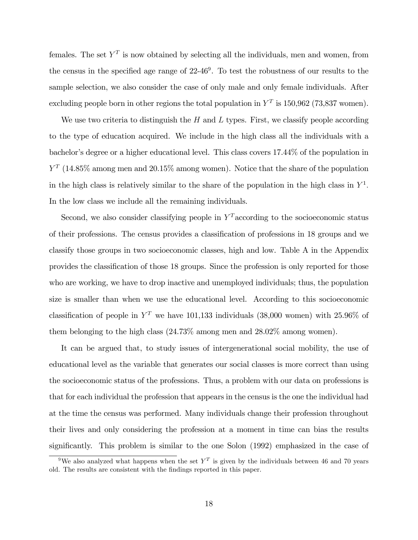females. The set  $Y^T$  is now obtained by selecting all the individuals, men and women, from the census in the specified age range of  $22-46^9$ . To test the robustness of our results to the sample selection, we also consider the case of only male and only female individuals. After excluding people born in other regions the total population in  $Y^T$  is 150,962 (73,837 women).

We use two criteria to distinguish the  $H$  and  $L$  types. First, we classify people according to the type of education acquired. We include in the high class all the individuals with a bachelor's degree or a higher educational level. This class covers 17.44% of the population in  $Y<sup>T</sup>$  (14.85% among men and 20.15% among women). Notice that the share of the population in the high class is relatively similar to the share of the population in the high class in  $Y^1$ . In the low class we include all the remaining individuals.

Second, we also consider classifying people in  $Y<sup>T</sup>$  according to the socioeconomic status of their professions. The census provides a classification of professions in 18 groups and we classify those groups in two socioeconomic classes, high and low. Table A in the Appendix provides the classification of those 18 groups. Since the profession is only reported for those who are working, we have to drop inactive and unemployed individuals; thus, the population size is smaller than when we use the educational level. According to this socioeconomic classification of people in  $Y<sup>T</sup>$  we have 101,133 individuals (38,000 women) with 25.96% of them belonging to the high class (24.73% among men and 28.02% among women).

It can be argued that, to study issues of intergenerational social mobility, the use of educational level as the variable that generates our social classes is more correct than using the socioeconomic status of the professions. Thus, a problem with our data on professions is that for each individual the profession that appears in the census is the one the individual had at the time the census was performed. Many individuals change their profession throughout their lives and only considering the profession at a moment in time can bias the results significantly. This problem is similar to the one Solon (1992) emphasized in the case of

<sup>&</sup>lt;sup>9</sup>We also analyzed what happens when the set  $Y<sup>T</sup>$  is given by the individuals between 46 and 70 years old. The results are consistent with the Öndings reported in this paper.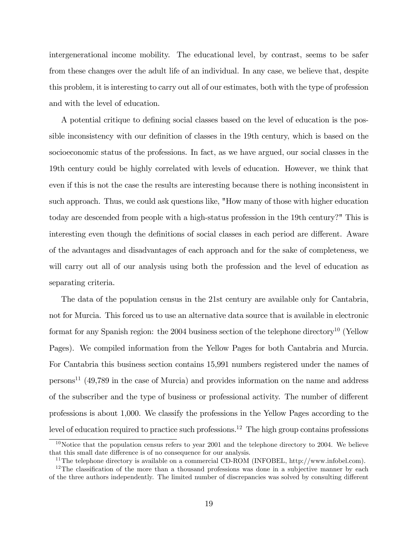intergenerational income mobility. The educational level, by contrast, seems to be safer from these changes over the adult life of an individual. In any case, we believe that, despite this problem, it is interesting to carry out all of our estimates, both with the type of profession and with the level of education.

A potential critique to defining social classes based on the level of education is the possible inconsistency with our definition of classes in the 19th century, which is based on the socioeconomic status of the professions. In fact, as we have argued, our social classes in the 19th century could be highly correlated with levels of education. However, we think that even if this is not the case the results are interesting because there is nothing inconsistent in such approach. Thus, we could ask questions like, "How many of those with higher education today are descended from people with a high-status profession in the 19th century?" This is interesting even though the definitions of social classes in each period are different. Aware of the advantages and disadvantages of each approach and for the sake of completeness, we will carry out all of our analysis using both the profession and the level of education as separating criteria.

The data of the population census in the 21st century are available only for Cantabria, not for Murcia. This forced us to use an alternative data source that is available in electronic format for any Spanish region: the 2004 business section of the telephone directory<sup>10</sup> (Yellow Pages). We compiled information from the Yellow Pages for both Cantabria and Murcia. For Cantabria this business section contains 15,991 numbers registered under the names of persons<sup>11</sup> (49,789 in the case of Murcia) and provides information on the name and address of the subscriber and the type of business or professional activity. The number of different professions is about 1,000. We classify the professions in the Yellow Pages according to the level of education required to practice such professions.<sup>12</sup> The high group contains professions

 $10$ Notice that the population census refers to year 2001 and the telephone directory to 2004. We believe that this small date difference is of no consequence for our analysis.

<sup>&</sup>lt;sup>11</sup>The telephone directory is available on a commercial CD-ROM (INFOBEL, http://www.infobel.com).

 $12$ The classification of the more than a thousand professions was done in a subjective manner by each of the three authors independently. The limited number of discrepancies was solved by consulting different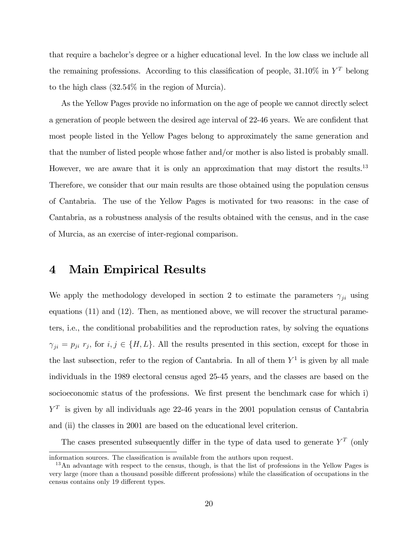that require a bachelor's degree or a higher educational level. In the low class we include all the remaining professions. According to this classification of people,  $31.10\%$  in  $Y^T$  belong to the high class (32.54% in the region of Murcia).

As the Yellow Pages provide no information on the age of people we cannot directly select a generation of people between the desired age interval of 22-46 years. We are confident that most people listed in the Yellow Pages belong to approximately the same generation and that the number of listed people whose father and/or mother is also listed is probably small. However, we are aware that it is only an approximation that may distort the results.<sup>13</sup> Therefore, we consider that our main results are those obtained using the population census of Cantabria. The use of the Yellow Pages is motivated for two reasons: in the case of Cantabria, as a robustness analysis of the results obtained with the census, and in the case of Murcia, as an exercise of inter-regional comparison.

# 4 Main Empirical Results

We apply the methodology developed in section 2 to estimate the parameters  $\gamma_{ii}$  using equations (11) and (12). Then, as mentioned above, we will recover the structural parameters, i.e., the conditional probabilities and the reproduction rates, by solving the equations  $\gamma_{ji} = p_{ji} r_j$ , for  $i, j \in \{H, L\}$ . All the results presented in this section, except for those in the last subsection, refer to the region of Cantabria. In all of them  $Y^1$  is given by all male individuals in the 1989 electoral census aged 25-45 years, and the classes are based on the socioeconomic status of the professions. We first present the benchmark case for which i)  $Y<sup>T</sup>$  is given by all individuals age 22-46 years in the 2001 population census of Cantabria and (ii) the classes in 2001 are based on the educational level criterion.

The cases presented subsequently differ in the type of data used to generate  $Y<sup>T</sup>$  (only

information sources. The classification is available from the authors upon request.

 $13$ An advantage with respect to the census, though, is that the list of professions in the Yellow Pages is very large (more than a thousand possible different professions) while the classification of occupations in the census contains only 19 different types.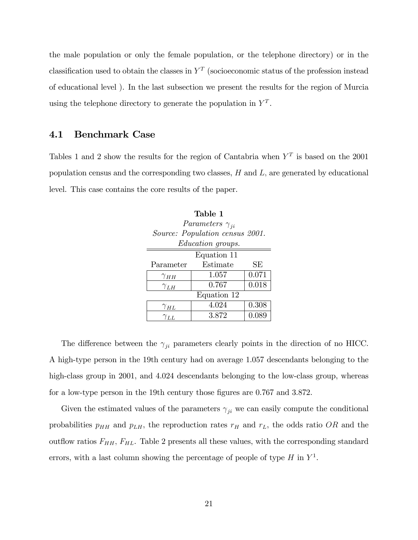the male population or only the female population, or the telephone directory) or in the classification used to obtain the classes in  $Y<sup>T</sup>$  (socioeconomic status of the profession instead of educational level ). In the last subsection we present the results for the region of Murcia using the telephone directory to generate the population in  $Y<sup>T</sup>$ .

#### 4.1 Benchmark Case

Tables 1 and 2 show the results for the region of Cantabria when  $Y<sup>T</sup>$  is based on the 2001 population census and the corresponding two classes,  $H$  and  $L$ , are generated by educational level. This case contains the core results of the paper.

| Table 1       |                                 |       |  |  |  |
|---------------|---------------------------------|-------|--|--|--|
|               | Parameters $\gamma_{ii}$        |       |  |  |  |
|               | Source: Population census 2001. |       |  |  |  |
|               | <i>Education groups.</i>        |       |  |  |  |
| Equation 11   |                                 |       |  |  |  |
| Parameter     | Estimate                        | SE    |  |  |  |
| $\gamma_{HH}$ | 1.057                           | 0.071 |  |  |  |
| $\gamma_{LH}$ | 0.767                           | 0.018 |  |  |  |
| Equation 12   |                                 |       |  |  |  |
| $\gamma_{HL}$ | 4.024                           | 0.308 |  |  |  |
| $\gamma_{LL}$ | 3.872                           | 0.089 |  |  |  |

The difference between the  $\gamma_{ji}$  parameters clearly points in the direction of no HICC. A high-type person in the 19th century had on average 1.057 descendants belonging to the high-class group in 2001, and 4.024 descendants belonging to the low-class group, whereas for a low-type person in the 19th century those figures are 0.767 and 3.872.

Given the estimated values of the parameters  $\gamma_{ji}$  we can easily compute the conditional probabilities  $p_{HH}$  and  $p_{LH}$ , the reproduction rates  $r_H$  and  $r_L$ , the odds ratio OR and the outflow ratios  $F_{HH}$ ,  $F_{HL}$ . Table 2 presents all these values, with the corresponding standard errors, with a last column showing the percentage of people of type  $H$  in  $Y^1$ .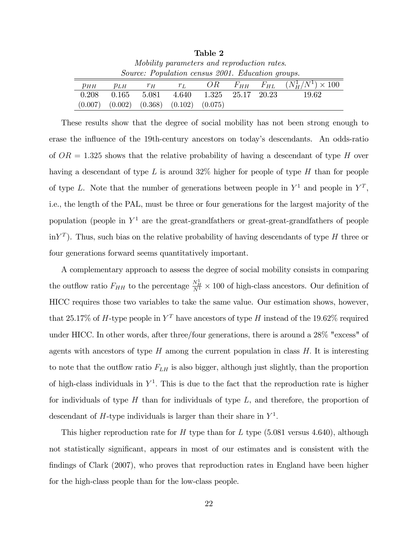| Table 2                                           |          |         |         |                         |          |                                         |
|---------------------------------------------------|----------|---------|---------|-------------------------|----------|-----------------------------------------|
| Mobility parameters and reproduction rates.       |          |         |         |                         |          |                                         |
| Source: Population census 2001. Education groups. |          |         |         |                         |          |                                         |
| $p_{HH}$                                          | $p_{LH}$ | $r_H$   | $r_L$   | OR                      | $F_{HH}$ | $F_{HL}$ $(N_{H}^{1}/N^{1}) \times 100$ |
| 0.208                                             | 0.165    | 5.081   | 4.640   | $1.325$ $25.17$ $20.23$ |          | 19.62                                   |
| (0.007)                                           | (0.002)  | (0.368) | (0.102) | (0.075)                 |          |                                         |

These results show that the degree of social mobility has not been strong enough to erase the influence of the 19th-century ancestors on today's descendants. An odds-ratio of  $OR = 1.325$  shows that the relative probability of having a descendant of type H over having a descendant of type  $L$  is around 32% higher for people of type  $H$  than for people of type L. Note that the number of generations between people in  $Y^1$  and people in  $Y^T$ , i.e., the length of the PAL, must be three or four generations for the largest majority of the population (people in  $Y^1$  are the great-grandfathers or great-grandfathers of people  $\text{in} Y^T$ ). Thus, such bias on the relative probability of having descendants of type H three or four generations forward seems quantitatively important.

A complementary approach to assess the degree of social mobility consists in comparing the outflow ratio  $F_{HH}$  to the percentage  $\frac{N_H^1}{N^1} \times 100$  of high-class ancestors. Our definition of HICC requires those two variables to take the same value. Our estimation shows, however, that 25.17% of H-type people in  $Y<sup>T</sup>$  have ancestors of type H instead of the 19.62% required under HICC. In other words, after three/four generations, there is around a 28% "excess" of agents with ancestors of type  $H$  among the current population in class  $H$ . It is interesting to note that the outflow ratio  $F_{LH}$  is also bigger, although just slightly, than the proportion of high-class individuals in  $Y^1$ . This is due to the fact that the reproduction rate is higher for individuals of type  $H$  than for individuals of type  $L$ , and therefore, the proportion of descendant of H-type individuals is larger than their share in  $Y^1$ .

This higher reproduction rate for H type than for L type  $(5.081 \text{ versus } 4.640)$ , although not statistically significant, appears in most of our estimates and is consistent with the findings of Clark (2007), who proves that reproduction rates in England have been higher for the high-class people than for the low-class people.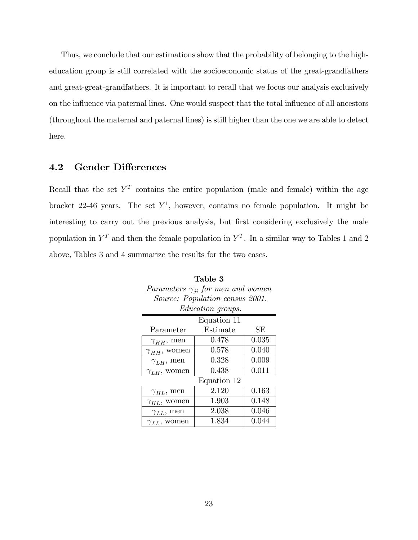Thus, we conclude that our estimations show that the probability of belonging to the higheducation group is still correlated with the socioeconomic status of the great-grandfathers and great-great-grandfathers. It is important to recall that we focus our analysis exclusively on the influence via paternal lines. One would suspect that the total influence of all ancestors (throughout the maternal and paternal lines) is still higher than the one we are able to detect here.

### 4.2 Gender Differences

Recall that the set  $Y^T$  contains the entire population (male and female) within the age bracket 22-46 years. The set  $Y<sup>1</sup>$ , however, contains no female population. It might be interesting to carry out the previous analysis, but first considering exclusively the male population in  $Y^T$  and then the female population in  $Y^T$ . In a similar way to Tables 1 and 2 above, Tables 3 and 4 summarize the results for the two cases.

| Parameters $\gamma_{ji}$ for men and women |                                 |       |  |  |  |  |
|--------------------------------------------|---------------------------------|-------|--|--|--|--|
|                                            | Source: Population census 2001. |       |  |  |  |  |
|                                            | <i>Education groups.</i>        |       |  |  |  |  |
|                                            | Equation 11                     |       |  |  |  |  |
| Parameter                                  | Estimate                        | SЕ    |  |  |  |  |
| $\gamma_{HH}$ , men                        | 0.478                           | 0.035 |  |  |  |  |
| $\gamma_{HH}$ , women                      | 0.578                           | 0.040 |  |  |  |  |
| $\gamma_{LH}$ , men                        | 0.328                           | 0.009 |  |  |  |  |
| $\gamma_{LH}$ , women                      | 0.438                           | 0.011 |  |  |  |  |
|                                            | Equation 12                     |       |  |  |  |  |
| $\gamma_{HL}$ , men                        | 2.120                           | 0.163 |  |  |  |  |
| $\gamma_{HL}$ , women                      | 1.903                           | 0.148 |  |  |  |  |
| $\gamma_{LL}$ , men                        | 2.038                           | 0.046 |  |  |  |  |
| $\gamma_{LL}$ , women                      | 1.834                           | 0.044 |  |  |  |  |

| Table 3                                    |  |
|--------------------------------------------|--|
| Parameters $\gamma_{ji}$ for men and women |  |
| Source: Population census 2001.            |  |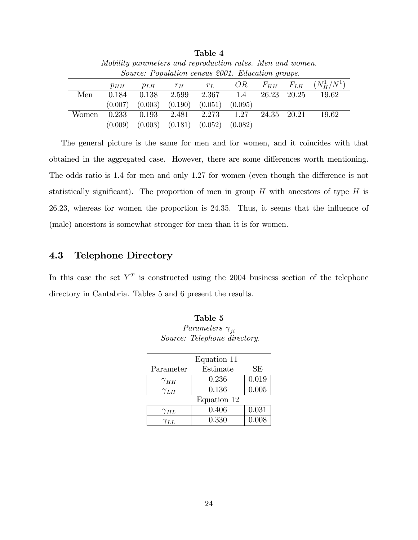| Mobility parameters and reproduction rates. Men and women. |          |          |         |         |         |          |          |               |
|------------------------------------------------------------|----------|----------|---------|---------|---------|----------|----------|---------------|
| <i>Source: Population census 2001. Education groups.</i>   |          |          |         |         |         |          |          |               |
|                                                            | $p_{HH}$ | $p_{LH}$ | $r_H$   | $r_L$   | OR      | $F_{HH}$ | $F_{LH}$ | $(N_H^1/N^1)$ |
| Men                                                        | 0.184    | 0.138    | 2.599   | 2.367   | 1.4     | 26.23    | 20.25    | 19.62         |
|                                                            | (0.007)  | (0.003)  | (0.190) | (0.051) | (0.095) |          |          |               |
| Women                                                      | 0.233    | 0.193    | 2.481   | 2.273   | 1.27    | 24.35    | - 20 21  | 19.62         |
|                                                            | (0.009)  | (0.003)  | (0.181) | (0.052) | (0.082) |          |          |               |

Table 4

The general picture is the same for men and for women, and it coincides with that obtained in the aggregated case. However, there are some differences worth mentioning. The odds ratio is 1.4 for men and only 1.27 for women (even though the difference is not statistically significant). The proportion of men in group  $H$  with ancestors of type  $H$  is 26.23, whereas for women the proportion is 24.35. Thus, it seems that the influence of (male) ancestors is somewhat stronger for men than it is for women.

### 4.3 Telephone Directory

In this case the set  $Y^T$  is constructed using the 2004 business section of the telephone directory in Cantabria. Tables 5 and 6 present the results.

|               | Equation 11 |       |
|---------------|-------------|-------|
| Parameter     | Estimate    | SЕ    |
| $\gamma_{HH}$ | 0.236       | 0.019 |
| $\gamma_{LH}$ | 0.136       | 0.005 |
|               | Equation 12 |       |
| $\gamma_{HL}$ | 0.406       | 0.031 |
| $\gamma_{LL}$ | 0.330       | 0.008 |

Table 5 Parameters  $\gamma_{ji}$ Source: Telephone directory.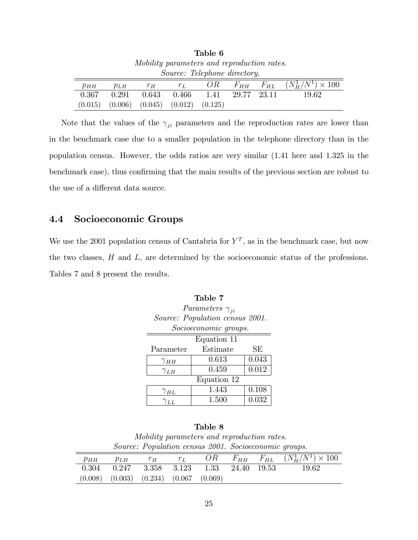| rapie o                                     |          |         |         |         |       |                   |                                |
|---------------------------------------------|----------|---------|---------|---------|-------|-------------------|--------------------------------|
| Mobility parameters and reproduction rates. |          |         |         |         |       |                   |                                |
| <i>Source: Telephone directory.</i>         |          |         |         |         |       |                   |                                |
| $p_{HH}$                                    | $p_{LH}$ | $r_H$   | $r_L$   | OR.     |       | $F_{HH}$ $F_{HL}$ | $(N_{H}^{1}/N^{1}) \times 100$ |
| 0.367                                       | 0.291    | 0.643   | 0.466   | 1.41    | 29.77 | - 23.11           | 19.62                          |
| (0.015)                                     | (0.006)  | (0.045) | (0.012) | (0.125) |       |                   |                                |

 $T - 1 - 6$ 

Note that the values of the  $\gamma_{ji}$  parameters and the reproduction rates are lower than in the benchmark case due to a smaller population in the telephone directory than in the population census. However, the odds ratios are very similar (1.41 here and 1.325 in the benchmark case), thus confirming that the main results of the previous section are robust to the use of a different data source.

### 4.4 Socioeconomic Groups

We use the 2001 population census of Cantabria for  $Y<sup>T</sup>$ , as in the benchmark case, but now the two classes, H and L, are determined by the socioeconomic status of the professions. Tables 7 and 8 present the results.

 $T<sub>1</sub>$   $T<sub>2</sub>$ 

|                        | Table 7                         |       |  |  |  |  |
|------------------------|---------------------------------|-------|--|--|--|--|
|                        | Parameters $\gamma_{ji}$        |       |  |  |  |  |
|                        | Source: Population census 2001. |       |  |  |  |  |
|                        | Socioeconomic groups.           |       |  |  |  |  |
|                        | Equation 11                     |       |  |  |  |  |
| Parameter              | Estimate                        | SЕ    |  |  |  |  |
| $\gamma_{HH}$          | 0.613                           | 0.043 |  |  |  |  |
| $\gamma$ <sub>LH</sub> | 0.459                           | 0.012 |  |  |  |  |
| Equation 12            |                                 |       |  |  |  |  |
| $\gamma_{HL}$          | 1.443                           | 0.108 |  |  |  |  |
| $\gamma_{LL}$          | 1.500                           | 0.032 |  |  |  |  |

|          |          |                                                       |       | Table 8 |       |        |                                            |
|----------|----------|-------------------------------------------------------|-------|---------|-------|--------|--------------------------------------------|
|          |          | Mobility parameters and reproduction rates.           |       |         |       |        |                                            |
|          |          | Source: Population census 2001. Socioeconomic groups. |       |         |       |        |                                            |
| $p_{HH}$ | $p_{LH}$ | $r_H$                                                 | $r_L$ | OR-     |       |        | $F_{HH}$ $F_{HL}$ $(N_H^1/N^1) \times 100$ |
| 0.304    | 0.247    | 3.358                                                 | 3.123 | 1.33    | 24.40 | -19.53 | 19 62                                      |

(0.008) (0.003) (0.234) (0.067 (0.069)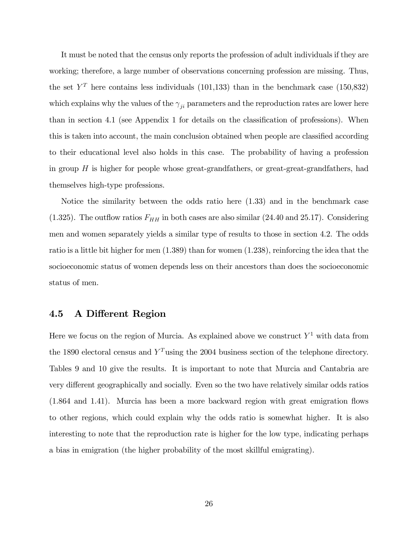It must be noted that the census only reports the profession of adult individuals if they are working; therefore, a large number of observations concerning profession are missing. Thus, the set  $Y^T$  here contains less individuals (101,133) than in the benchmark case (150,832) which explains why the values of the  $\gamma_{ji}$  parameters and the reproduction rates are lower here than in section 4.1 (see Appendix 1 for details on the classification of professions). When this is taken into account, the main conclusion obtained when people are classified according to their educational level also holds in this case. The probability of having a profession in group  $H$  is higher for people whose great-grandfathers, or great-grandfathers, had themselves high-type professions.

Notice the similarity between the odds ratio here (1.33) and in the benchmark case (1.325). The outflow ratios  $F_{HH}$  in both cases are also similar (24.40 and 25.17). Considering men and women separately yields a similar type of results to those in section 4.2. The odds ratio is a little bit higher for men (1.389) than for women (1.238), reinforcing the idea that the socioeconomic status of women depends less on their ancestors than does the socioeconomic status of men.

#### 4.5 A Different Region

Here we focus on the region of Murcia. As explained above we construct  $Y^1$  with data from the 1890 electoral census and  $Y<sup>T</sup>$  using the 2004 business section of the telephone directory. Tables 9 and 10 give the results. It is important to note that Murcia and Cantabria are very different geographically and socially. Even so the two have relatively similar odds ratios  $(1.864 \text{ and } 1.41)$ . Murcia has been a more backward region with great emigration flows to other regions, which could explain why the odds ratio is somewhat higher. It is also interesting to note that the reproduction rate is higher for the low type, indicating perhaps a bias in emigration (the higher probability of the most skillful emigrating).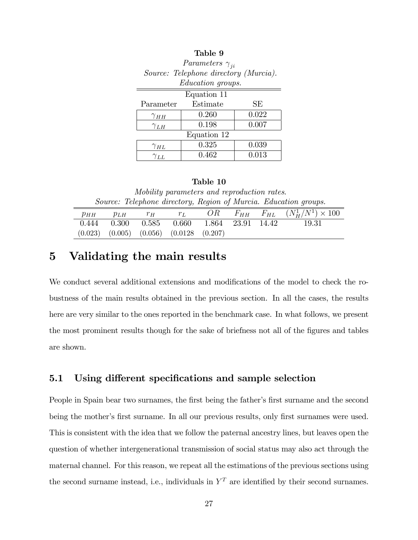| Source: Telephone directory (Murcia). |                          |       |  |  |  |  |  |
|---------------------------------------|--------------------------|-------|--|--|--|--|--|
|                                       | <i>Education groups.</i> |       |  |  |  |  |  |
| Equation 11                           |                          |       |  |  |  |  |  |
| Parameter                             | Estimate                 | SЕ    |  |  |  |  |  |
| $\gamma_{HH}$                         | 0.260                    | 0.022 |  |  |  |  |  |
| $\gamma_{LH}$                         | 0.198                    | 0.007 |  |  |  |  |  |
| Equation 12                           |                          |       |  |  |  |  |  |
| $\gamma_{HL}$                         | 0.325                    | 0.039 |  |  |  |  |  |
| $\gamma_{LL}$                         | 0.462                    | 0.013 |  |  |  |  |  |

### Table 9 Parameters  $\gamma_{ji}$

#### Table 10

Mobility parameters and reproduction rates. Source: Telephone directory, Region of Murcia. Education groups.

| $\mathcal{P} H H$ | $p_{LH}$ | $T_H$ | $r_L$                                                   |  | $OR$ $F_{HH}$ $F_{HL}$ $(N_H^1/N^1) \times 100$ |
|-------------------|----------|-------|---------------------------------------------------------|--|-------------------------------------------------|
|                   |          |       | $0.444$ $0.300$ $0.585$ $0.660$ $1.864$ $23.91$ $14.42$ |  | - 19.31                                         |
|                   |          |       | $(0.023)$ $(0.005)$ $(0.056)$ $(0.0128$ $(0.207)$       |  |                                                 |
|                   |          |       |                                                         |  |                                                 |

# 5 Validating the main results

ś

We conduct several additional extensions and modifications of the model to check the robustness of the main results obtained in the previous section. In all the cases, the results here are very similar to the ones reported in the benchmark case. In what follows, we present the most prominent results though for the sake of briefness not all of the figures and tables are shown.

#### 5.1 Using different specifications and sample selection

People in Spain bear two surnames, the first being the father's first surname and the second being the mother's first surname. In all our previous results, only first surnames were used. This is consistent with the idea that we follow the paternal ancestry lines, but leaves open the question of whether intergenerational transmission of social status may also act through the maternal channel. For this reason, we repeat all the estimations of the previous sections using the second surname instead, i.e., individuals in  $Y<sup>T</sup>$  are identified by their second surnames.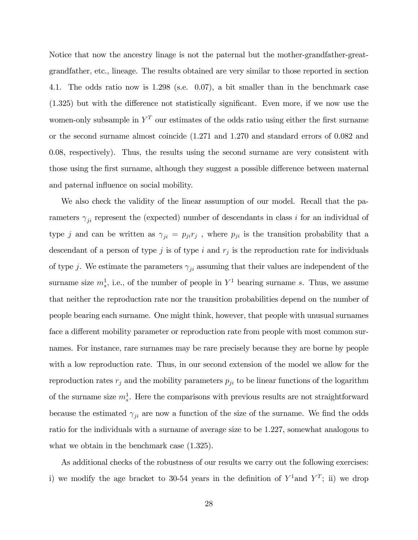Notice that now the ancestry linage is not the paternal but the mother-grandfather-greatgrandfather, etc., lineage. The results obtained are very similar to those reported in section 4.1. The odds ratio now is 1.298 (s.e. 0.07), a bit smaller than in the benchmark case  $(1.325)$  but with the difference not statistically significant. Even more, if we now use the women-only subsample in  $Y<sup>T</sup>$  our estimates of the odds ratio using either the first surname or the second surname almost coincide (1.271 and 1.270 and standard errors of 0.082 and 0.08, respectively). Thus, the results using the second surname are very consistent with those using the first surname, although they suggest a possible difference between maternal and paternal influence on social mobility.

We also check the validity of the linear assumption of our model. Recall that the parameters  $\gamma_{ji}$  represent the (expected) number of descendants in class i for an individual of type j and can be written as  $\gamma_{ji} = p_{ji}r_j$ , where  $p_{ji}$  is the transition probability that a descendant of a person of type  $j$  is of type  $i$  and  $r_j$  is the reproduction rate for individuals of type j. We estimate the parameters  $\gamma_{ji}$  assuming that their values are independent of the surname size  $m_s^1$ , i.e., of the number of people in  $Y^1$  bearing surname s. Thus, we assume that neither the reproduction rate nor the transition probabilities depend on the number of people bearing each surname. One might think, however, that people with unusual surnames face a different mobility parameter or reproduction rate from people with most common surnames. For instance, rare surnames may be rare precisely because they are borne by people with a low reproduction rate. Thus, in our second extension of the model we allow for the reproduction rates  $r_j$  and the mobility parameters  $p_{ji}$  to be linear functions of the logarithm of the surname size  $m_s^1$ . Here the comparisons with previous results are not straightforward because the estimated  $\gamma_{ji}$  are now a function of the size of the surname. We find the odds ratio for the individuals with a surname of average size to be 1.227, somewhat analogous to what we obtain in the benchmark case  $(1.325)$ .

As additional checks of the robustness of our results we carry out the following exercises: i) we modify the age bracket to 30-54 years in the definition of  $Y^1$  and  $Y^T$ ; ii) we drop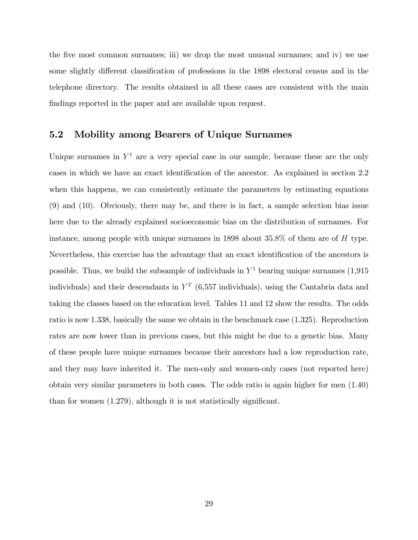the five most common surnames; iii) we drop the most unusual surnames; and iv) we use some slightly different classification of professions in the 1898 electoral census and in the telephone directory. The results obtained in all these cases are consistent with the main findings reported in the paper and are available upon request.

#### 5.2 Mobility among Bearers of Unique Surnames

Unique surnames in  $Y^1$  are a very special case in our sample, because these are the only cases in which we have an exact identification of the ancestor. As explained in section 2.2 when this happens, we can consistently estimate the parameters by estimating equations (9) and (10). Obviously, there may be, and there is in fact, a sample selection bias issue here due to the already explained socioeconomic bias on the distribution of surnames. For instance, among people with unique surnames in  $1898$  about  $35.8\%$  of them are of H type. Nevertheless, this exercise has the advantage that an exact identification of the ancestors is possible. Thus, we build the subsample of individuals in  $Y^1$  bearing unique surnames  $(1,915)$ individuals) and their descendants in  $Y^T$  (6,557 individuals), using the Cantabria data and taking the classes based on the education level. Tables 11 and 12 show the results. The odds ratio is now 1.338, basically the same we obtain in the benchmark case (1.325). Reproduction rates are now lower than in previous cases, but this might be due to a genetic bias. Many of these people have unique surnames because their ancestors had a low reproduction rate, and they may have inherited it. The men-only and women-only cases (not reported here) obtain very similar parameters in both cases. The odds ratio is again higher for men (1.40) than for women  $(1.279)$ , although it is not statistically significant.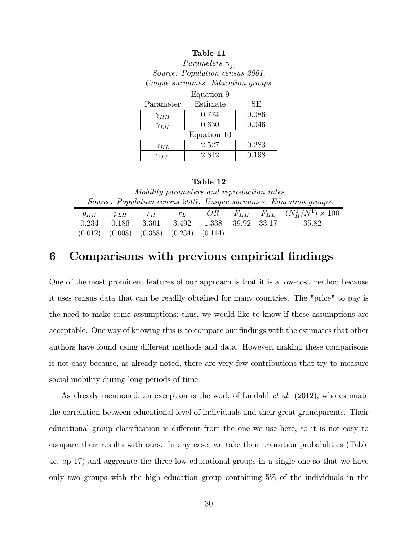| Unique surnames. Education groups. |          |       |  |  |  |  |
|------------------------------------|----------|-------|--|--|--|--|
| Equation 9                         |          |       |  |  |  |  |
| Parameter                          | Estimate | SЕ    |  |  |  |  |
| $\gamma_{HH}$                      | 0.774    | 0.086 |  |  |  |  |
| $\gamma_{LH}$                      | 0.650    | 0.046 |  |  |  |  |
| Equation 10                        |          |       |  |  |  |  |
| $\gamma_{HL}$                      | 2.527    | 0.283 |  |  |  |  |
| $\gamma_{LL}$                      | 2.842    | 0.198 |  |  |  |  |

### Table 11 Parameters  $\gamma_{ji}$

Source: Population census 2001.

#### Table 12

Mobility parameters and reproduction rates. Source: Population census 2001. Unique surnames. Education groups.

|                                                   | $p_{HH}$ $p_{LH}$ |  |  | $r_H$ $r_L$ $OR$ $F_{HH}$ $F_{HL}$ $(N_H^1/N^1) \times 100$     |
|---------------------------------------------------|-------------------|--|--|-----------------------------------------------------------------|
|                                                   |                   |  |  | $0.234$ $0.186$ $3.301$ $3.492$ $1.338$ $39.92$ $33.17$ $35.82$ |
| $(0.012)$ $(0.008)$ $(0.358)$ $(0.234)$ $(0.114)$ |                   |  |  |                                                                 |

# 6 Comparisons with previous empirical findings

One of the most prominent features of our approach is that it is a low-cost method because it uses census data that can be readily obtained for many countries. The "price" to pay is the need to make some assumptions; thus, we would like to know if these assumptions are acceptable. One way of knowing this is to compare our findings with the estimates that other authors have found using different methods and data. However, making these comparisons is not easy because, as already noted, there are very few contributions that try to measure social mobility during long periods of time.

As already mentioned, an exception is the work of Lindahl *et al.* (2012), who estimate the correlation between educational level of individuals and their great-grandparents. Their educational group classification is different from the one we use here, so it is not easy to compare their results with ours. In any case, we take their transition probabilities (Table 4c, pp 17) and aggregate the three low educational groups in a single one so that we have only two groups with the high education group containing 5% of the individuals in the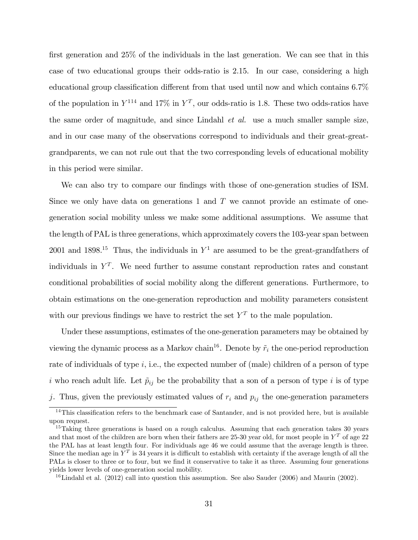first generation and  $25\%$  of the individuals in the last generation. We can see that in this case of two educational groups their odds-ratio is 2.15. In our case, considering a high educational group classification different from that used until now and which contains  $6.7\%$ of the population in  $Y^{114}$  and  $17\%$  in  $Y^T$ , our odds-ratio is 1.8. These two odds-ratios have the same order of magnitude, and since Lindahl et al. use a much smaller sample size, and in our case many of the observations correspond to individuals and their great-greatgrandparents, we can not rule out that the two corresponding levels of educational mobility in this period were similar.

We can also try to compare our findings with those of one-generation studies of ISM. Since we only have data on generations 1 and  $T$  we cannot provide an estimate of onegeneration social mobility unless we make some additional assumptions. We assume that the length of PAL is three generations, which approximately covers the 103-year span between 2001 and 1898.<sup>15</sup> Thus, the individuals in  $Y^1$  are assumed to be the great-grandfathers of individuals in  $Y<sup>T</sup>$ . We need further to assume constant reproduction rates and constant conditional probabilities of social mobility along the different generations. Furthermore, to obtain estimations on the one-generation reproduction and mobility parameters consistent with our previous findings we have to restrict the set  $Y<sup>T</sup>$  to the male population.

Under these assumptions, estimates of the one-generation parameters may be obtained by viewing the dynamic process as a Markov chain<sup>16</sup>. Denote by  $\tilde{r}_i$  the one-period reproduction rate of individuals of type  $i$ , i.e., the expected number of (male) children of a person of type i who reach adult life. Let  $\tilde{p}_{ij}$  be the probability that a son of a person of type i is of type j. Thus, given the previously estimated values of  $r_i$  and  $p_{ij}$  the one-generation parameters

 $14$ This classification refers to the benchmark case of Santander, and is not provided here, but is available upon request.

<sup>&</sup>lt;sup>15</sup>Taking three generations is based on a rough calculus. Assuming that each generation takes 30 years and that most of the children are born when their fathers are 25-30 year old, for most people in  $Y<sup>T</sup>$  of age 22 the PAL has at least length four. For individuals age 46 we could assume that the average length is three. Since the median age in  $Y^T$  is 34 years it is difficult to establish with certainty if the average length of all the PALs is closer to three or to four, but we find it conservative to take it as three. Assuming four generations yields lower levels of one-generation social mobility.

 $^{16}$ Lindahl et al. (2012) call into question this assumption. See also Sauder (2006) and Maurin (2002).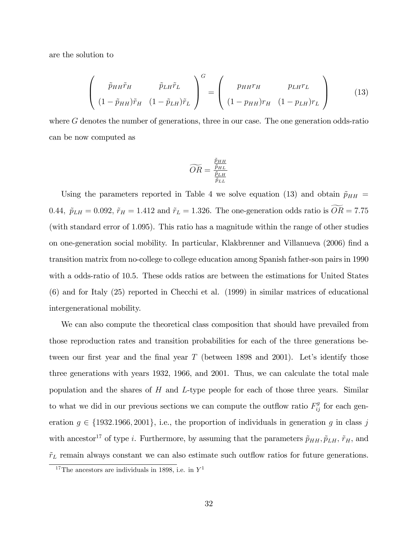are the solution to

$$
\begin{pmatrix}\n\tilde{p}_{HH}\tilde{r}_{H} & \tilde{p}_{LH}\tilde{r}_{L} \\
(1-\tilde{p}_{HH})\tilde{r}_{H} & (1-\tilde{p}_{LH})\tilde{r}_{L}\n\end{pmatrix}^{G} = \begin{pmatrix}\np_{HH}r_{H} & p_{LH}r_{L} \\
(1-p_{HH})r_{H} & (1-p_{LH})r_{L}\n\end{pmatrix}
$$
\n(13)

where G denotes the number of generations, three in our case. The one generation odds-ratio can be now computed as

$$
\widetilde{OR} = \frac{\frac{\widetilde{p}_{HH}}{\widetilde{p}_{HL}}}{\frac{\widetilde{p}_{LH}}{\widetilde{p}_{LL}}}
$$

Using the parameters reported in Table 4 we solve equation (13) and obtain  $\tilde{p}_{HH}$  = 0.44,  $\tilde{p}_{LH} = 0.092$ ,  $\tilde{r}_H = 1.412$  and  $\tilde{r}_L = 1.326$ . The one-generation odds ratio is  $\widetilde{OR} = 7.75$ (with standard error of 1.095). This ratio has a magnitude within the range of other studies on one-generation social mobility. In particular, Klakbrenner and Villanueva (2006) Önd a transition matrix from no-college to college education among Spanish father-son pairs in 1990 with a odds-ratio of 10.5. These odds ratios are between the estimations for United States (6) and for Italy (25) reported in Checchi et al. (1999) in similar matrices of educational intergenerational mobility.

We can also compute the theoretical class composition that should have prevailed from those reproduction rates and transition probabilities for each of the three generations between our first year and the final year  $T$  (between 1898 and 2001). Let's identify those three generations with years 1932, 1966, and 2001. Thus, we can calculate the total male population and the shares of  $H$  and  $L$ -type people for each of those three years. Similar to what we did in our previous sections we can compute the outflow ratio  $F_{ij}^g$  for each generation  $g \in \{1932.1966, 2001\}$ , i.e., the proportion of individuals in generation g in class j with ancestor<sup>17</sup> of type i. Furthermore, by assuming that the parameters  $\tilde{p}_{HH}$ ,  $\tilde{p}_{LH}$ ,  $\tilde{r}_H$ , and  $\tilde{r}_L$  remain always constant we can also estimate such outflow ratios for future generations.

<sup>&</sup>lt;sup>17</sup>The ancestors are individuals in 1898, i.e. in  $Y<sup>1</sup>$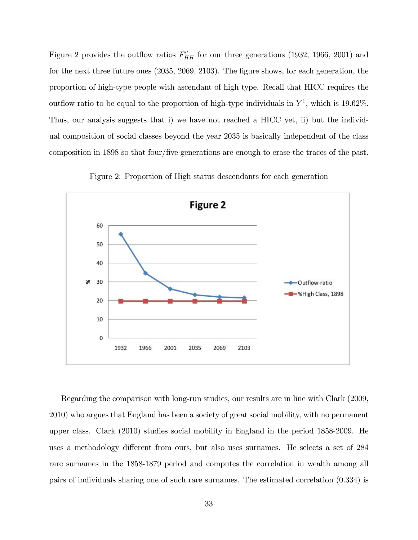Figure 2 provides the outflow ratios  $F_{HH}^g$  for our three generations (1932, 1966, 2001) and for the next three future ones  $(2035, 2069, 2103)$ . The figure shows, for each generation, the proportion of high-type people with ascendant of high type. Recall that HICC requires the outflow ratio to be equal to the proportion of high-type individuals in  $Y^1$ , which is 19.62%. Thus, our analysis suggests that i) we have not reached a HICC yet, ii) but the individual composition of social classes beyond the year 2035 is basically independent of the class composition in 1898 so that four/Öve generations are enough to erase the traces of the past.



Figure 2: Proportion of High status descendants for each generation

Regarding the comparison with long-run studies, our results are in line with Clark (2009, 2010) who argues that England has been a society of great social mobility, with no permanent upper class. Clark (2010) studies social mobility in England in the period 1858-2009. He uses a methodology different from ours, but also uses surnames. He selects a set of 284 rare surnames in the 1858-1879 period and computes the correlation in wealth among all pairs of individuals sharing one of such rare surnames. The estimated correlation (0.334) is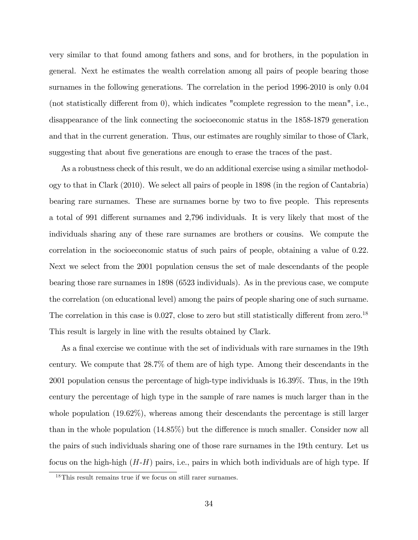very similar to that found among fathers and sons, and for brothers, in the population in general. Next he estimates the wealth correlation among all pairs of people bearing those surnames in the following generations. The correlation in the period 1996-2010 is only 0.04 (not statistically different from  $(0)$ , which indicates "complete regression to the mean", i.e., disappearance of the link connecting the socioeconomic status in the 1858-1879 generation and that in the current generation. Thus, our estimates are roughly similar to those of Clark, suggesting that about five generations are enough to erase the traces of the past.

As a robustness check of this result, we do an additional exercise using a similar methodology to that in Clark (2010). We select all pairs of people in 1898 (in the region of Cantabria) bearing rare surnames. These are surnames borne by two to five people. This represents a total of 991 different surnames and 2,796 individuals. It is very likely that most of the individuals sharing any of these rare surnames are brothers or cousins. We compute the correlation in the socioeconomic status of such pairs of people, obtaining a value of 0.22. Next we select from the 2001 population census the set of male descendants of the people bearing those rare surnames in 1898 (6523 individuals). As in the previous case, we compute the correlation (on educational level) among the pairs of people sharing one of such surname. The correlation in this case is  $0.027$ , close to zero but still statistically different from zero.<sup>18</sup> This result is largely in line with the results obtained by Clark.

As a final exercise we continue with the set of individuals with rare surnames in the 19th century. We compute that 28.7% of them are of high type. Among their descendants in the 2001 population census the percentage of high-type individuals is 16.39%. Thus, in the 19th century the percentage of high type in the sample of rare names is much larger than in the whole population (19.62%), whereas among their descendants the percentage is still larger than in the whole population  $(14.85\%)$  but the difference is much smaller. Consider now all the pairs of such individuals sharing one of those rare surnames in the 19th century. Let us focus on the high-high  $(H-H)$  pairs, i.e., pairs in which both individuals are of high type. If

 $18$ This result remains true if we focus on still rarer surnames.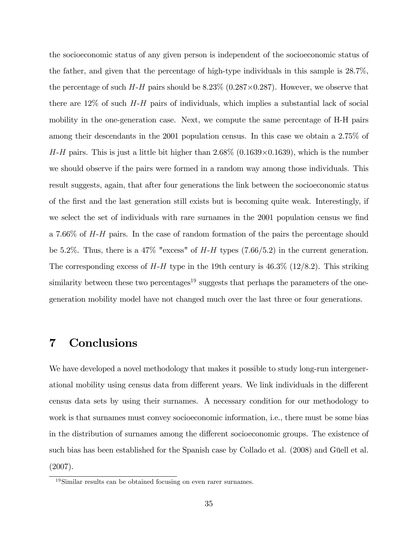the socioeconomic status of any given person is independent of the socioeconomic status of the father, and given that the percentage of high-type individuals in this sample is 28.7%, the percentage of such  $H$ - $H$  pairs should be 8.23% (0.287 $\times$ 0.287). However, we observe that there are  $12\%$  of such  $H-H$  pairs of individuals, which implies a substantial lack of social mobility in the one-generation case. Next, we compute the same percentage of H-H pairs among their descendants in the 2001 population census. In this case we obtain a 2.75% of  $H-H$  pairs. This is just a little bit higher than  $2.68\%$  (0.1639×0.1639), which is the number we should observe if the pairs were formed in a random way among those individuals. This result suggests, again, that after four generations the link between the socioeconomic status of the Örst and the last generation still exists but is becoming quite weak. Interestingly, if we select the set of individuals with rare surnames in the 2001 population census we find a 7.66% of H-H pairs. In the case of random formation of the pairs the percentage should be 5.2%. Thus, there is a 47% "excess" of  $H-H$  types (7.66/5.2) in the current generation. The corresponding excess of  $H-H$  type in the 19th century is  $46.3\%$  (12/8.2). This striking similarity between these two percentages<sup>19</sup> suggests that perhaps the parameters of the onegeneration mobility model have not changed much over the last three or four generations.

# 7 Conclusions

We have developed a novel methodology that makes it possible to study long-run intergenerational mobility using census data from different years. We link individuals in the different census data sets by using their surnames. A necessary condition for our methodology to work is that surnames must convey socioeconomic information, i.e., there must be some bias in the distribution of surnames among the different socioeconomic groups. The existence of such bias has been established for the Spanish case by Collado et al. (2008) and Güell et al. (2007).

<sup>19</sup>Similar results can be obtained focusing on even rarer surnames.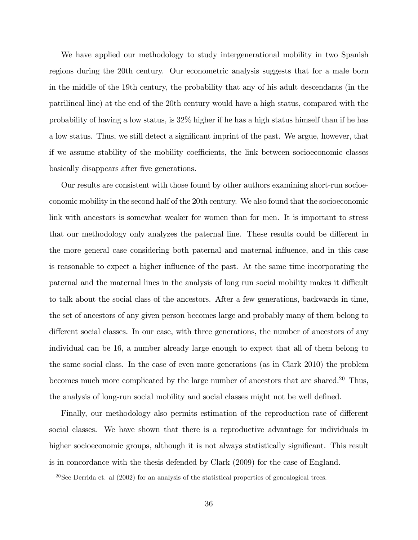We have applied our methodology to study intergenerational mobility in two Spanish regions during the 20th century. Our econometric analysis suggests that for a male born in the middle of the 19th century, the probability that any of his adult descendants (in the patrilineal line) at the end of the 20th century would have a high status, compared with the probability of having a low status, is 32% higher if he has a high status himself than if he has a low status. Thus, we still detect a significant imprint of the past. We argue, however, that if we assume stability of the mobility coefficients, the link between socioeconomic classes basically disappears after five generations.

Our results are consistent with those found by other authors examining short-run socioeconomic mobility in the second half of the 20th century. We also found that the socioeconomic link with ancestors is somewhat weaker for women than for men. It is important to stress that our methodology only analyzes the paternal line. These results could be different in the more general case considering both paternal and maternal influence, and in this case is reasonable to expect a higher influence of the past. At the same time incorporating the paternal and the maternal lines in the analysis of long run social mobility makes it difficult to talk about the social class of the ancestors. After a few generations, backwards in time, the set of ancestors of any given person becomes large and probably many of them belong to different social classes. In our case, with three generations, the number of ancestors of any individual can be 16, a number already large enough to expect that all of them belong to the same social class. In the case of even more generations (as in Clark 2010) the problem becomes much more complicated by the large number of ancestors that are shared.<sup>20</sup> Thus, the analysis of long-run social mobility and social classes might not be well defined.

Finally, our methodology also permits estimation of the reproduction rate of different social classes. We have shown that there is a reproductive advantage for individuals in higher socioeconomic groups, although it is not always statistically significant. This result is in concordance with the thesis defended by Clark (2009) for the case of England.

 $^{20}$ See Derrida et. al (2002) for an analysis of the statistical properties of genealogical trees.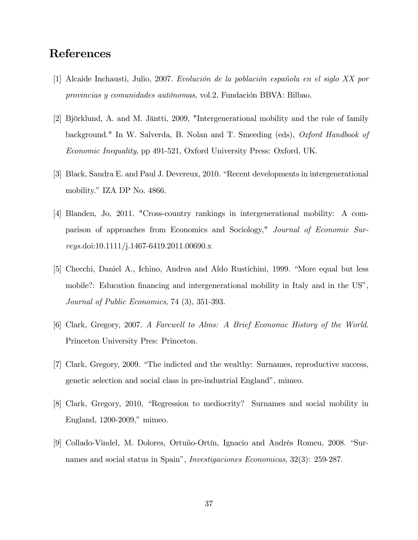# References

- $[1]$  Alcaide Inchausti, Julio, 2007. Evolución de la población española en el siglo XX por provincias y comunidades autónomas, vol.2, Fundación BBVA: Bilbao.
- [2] Björklund, A. and M. Jäntti, 2009, "Intergenerational mobility and the role of family background." In W. Salverda, B. Nolan and T. Smeeding (eds), Oxford Handbook of Economic Inequality, pp 491-521, Oxford University Press: Oxford, UK.
- [3] Black, Sandra E. and Paul J. Devereux, 2010. "Recent developments in intergenerational mobility." IZA DP No. 4866.
- [4] Blanden, Jo, 2011. "Cross-country rankings in intergenerational mobility: A comparison of approaches from Economics and Sociology," Journal of Economic Surveys.doi:10.1111/j.1467-6419.2011.00690.x
- [5] Checchi, Daniel A., Ichino, Andrea and Aldo Rustichini, 1999. "More equal but less mobile?: Education financing and intergenerational mobility in Italy and in the US<sup>n</sup>, Journal of Public Economics, 74 (3), 351-393.
- [6] Clark, Gregory, 2007. A Farewell to Alms: A Brief Economic History of the World. Princeton University Pres: Princeton.
- [7] Clark, Gregory, 2009. "The indicted and the wealthy: Surnames, reproductive success, genetic selection and social class in pre-industrial England", mimeo.
- [8] Clark, Gregory, 2010, "Regression to mediocrity? Surnames and social mobility in England,  $1200-2009$ ," mimeo.
- [9] Collado-Vindel, M. Dolores, Ortuño-Ortín, Ignacio and Andrés Romeu, 2008. "Surnames and social status in Spain", *Investigaciones Economicas*, 32(3): 259-287.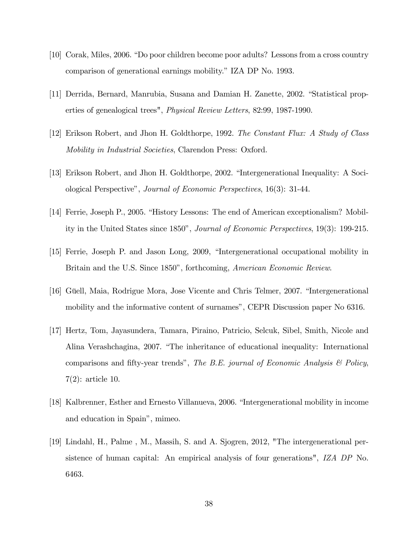- [10] Corak, Miles, 2006. "Do poor children become poor adults? Lessons from a cross country comparison of generational earnings mobility." IZA DP No. 1993.
- [11] Derrida, Bernard, Manrubia, Susana and Damian H. Zanette, 2002. "Statistical properties of genealogical trees", Physical Review Letters, 82:99, 1987-1990.
- [12] Erikson Robert, and Jhon H. Goldthorpe, 1992. The Constant Flux: A Study of Class Mobility in Industrial Societies, Clarendon Press: Oxford.
- [13] Erikson Robert, and Jhon H. Goldthorpe, 2002. "Intergenerational Inequality: A Sociological Perspectiveî, Journal of Economic Perspectives, 16(3): 31-44.
- [14] Ferrie, Joseph P., 2005. "History Lessons: The end of American exceptionalism? Mobility in the United States since 1850", *Journal of Economic Perspectives*, 19(3): 199-215.
- [15] Ferrie, Joseph P. and Jason Long, 2009, "Intergenerational occupational mobility in Britain and the U.S. Since 1850", forthcoming, *American Economic Review*.
- [16] Güell, Maia, Rodrigue Mora, Jose Vicente and Chris Telmer, 2007. "Intergenerational mobility and the informative content of surnames", CEPR Discussion paper No 6316.
- [17] Hertz, Tom, Jayasundera, Tamara, Piraino, Patricio, Selcuk, Sibel, Smith, Nicole and Alina Verashchagina, 2007. "The inheritance of educational inequality: International comparisons and fifty-year trends", The B.E. journal of Economic Analysis  $\mathcal C$  Policy, 7(2): article 10.
- [18] Kalbrenner, Esther and Ernesto Villanueva, 2006. "Intergenerational mobility in income and education in Spain", mimeo.
- [19] Lindahl, H., Palme , M., Massih, S. and A. Sjogren, 2012, "The intergenerational persistence of human capital: An empirical analysis of four generations", IZA DP No. 6463.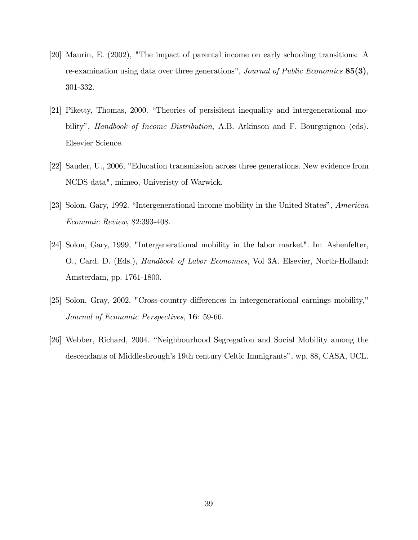- [20] Maurin, E. (2002), "The impact of parental income on early schooling transitions: A re-examination using data over three generations", Journal of Public Economics  $85(3)$ , 301-332.
- [21] Piketty, Thomas, 2000. "Theories of persisitent inequality and intergenerational mobility", *Handbook of Income Distribution*, A.B. Atkinson and F. Bourguignon (eds). Elsevier Science.
- [22] Sauder, U., 2006, "Education transmission across three generations. New evidence from NCDS data", mimeo, Univeristy of Warwick.
- [23] Solon, Gary, 1992. "Intergenerational income mobility in the United States", American Economic Review, 82:393-408.
- [24] Solon, Gary, 1999, "Intergenerational mobility in the labor market". In: Ashenfelter, O., Card, D. (Eds.), Handbook of Labor Economics, Vol 3A. Elsevier, North-Holland: Amsterdam, pp. 1761-1800.
- [25] Solon, Gray, 2002. "Cross-country differences in intergenerational earnings mobility," Journal of Economic Perspectives, 16: 59-66.
- [26] Webber, Richard, 2004. "Neighbourhood Segregation and Social Mobility among the descendants of Middlesbrough's 19th century Celtic Immigrants", wp. 88, CASA, UCL.